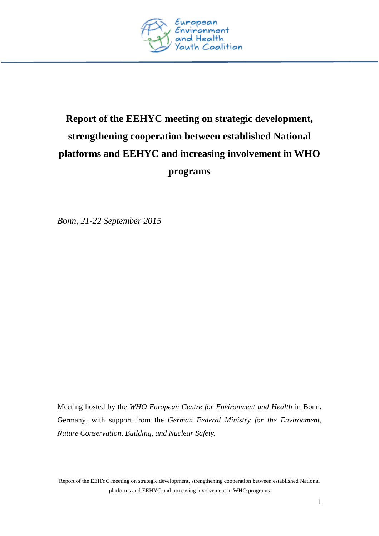

# **Report of the EEHYC meeting on strategic development, strengthening cooperation between established National platforms and EEHYC and increasing involvement in WHO programs**

*Bonn, 21-22 September 2015*

Meeting hosted by the *WHO European Centre for Environment and Health* in Bonn, Germany*,* with support from the *German Federal Ministry for the Environment, Nature Conservation, Building, and Nuclear Safety.*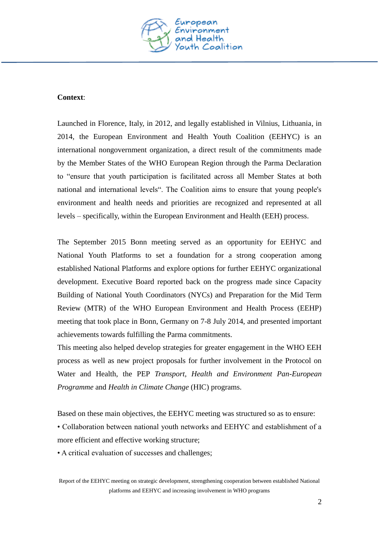

#### **Context**:

Launched in Florence, Italy, in 2012, and legally established in Vilnius, Lithuania, in 2014, the European Environment and Health Youth Coalition (EEHYC) is an international nongovernment organization, a direct result of the commitments made by the Member States of the WHO European Region through the Parma Declaration to "ensure that youth participation is facilitated across all Member States at both national and international levels". The Coalition aims to ensure that young people's environment and health needs and priorities are recognized and represented at all levels – specifically, within the European Environment and Health (EEH) process.

The September 2015 Bonn meeting served as an opportunity for EEHYC and National Youth Platforms to set a foundation for a strong cooperation among established National Platforms and explore options for further EEHYC organizational development. Executive Board reported back on the progress made since Capacity Building of National Youth Coordinators (NYCs) and Preparation for the Mid Term Review (MTR) of the WHO European Environment and Health Process (EEHP) meeting that took place in Bonn, Germany on 7-8 July 2014, and presented important achievements towards fulfilling the Parma commitments.

This meeting also helped develop strategies for greater engagement in the WHO EEH process as well as new project proposals for further involvement in the Protocol on Water and Health, the PEP *Transport, Health and Environment Pan-European Programme* and *Health in Climate Change* (HIC) programs.

Based on these main objectives, the EEHYC meeting was structured so as to ensure:

• Collaboration between national youth networks and EEHYC and establishment of a more efficient and effective working structure;

• A critical evaluation of successes and challenges;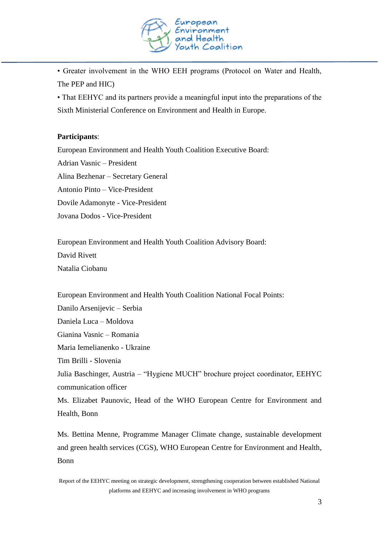

• Greater involvement in the WHO EEH programs (Protocol on Water and Health, The PEP and HIC)

• That EEHYC and its partners provide a meaningful input into the preparations of the Sixth Ministerial Conference on Environment and Health in Europe.

### **Participants**:

European Environment and Health Youth Coalition Executive Board: Adrian Vasnic – President Alina Bezhenar – Secretary General Antonio Pinto – Vice-President Dovile Adamonyte - Vice-President Jovana Dodos - Vice-President

European Environment and Health Youth Coalition Advisory Board: David Rivett Natalia Ciobanu

European Environment and Health Youth Coalition National Focal Points:

Danilo Arsenijevic – Serbia

Daniela Luca – Moldova

Gianina Vasnic – Romania

Maria Iemelianenko - Ukraine

Tim Brilli - Slovenia

Julia Baschinger, Austria – "Hygiene MUCH" brochure project coordinator, EEHYC communication officer

Ms. Elizabet Paunovic, Head of the WHO European Centre for Environment and Health, Bonn

Ms. Bettina Menne, Programme Manager Climate change, sustainable development and green health services (CGS), WHO European Centre for Environment and Health, Bonn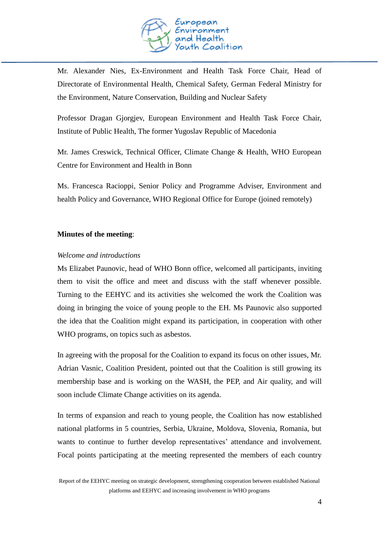

Mr. Alexander Nies, Ex-Environment and Health Task Force Chair, Head of Directorate of Environmental Health, Chemical Safety, German Federal Ministry for the Environment, Nature Conservation, Building and Nuclear Safety

Professor Dragan Gjorgjev, European Environment and Health Task Force Chair, Institute of Public Health, The former Yugoslav Republic of Macedonia

Mr. James Creswick, Technical Officer, Climate Change & Health, WHO European Centre for Environment and Health in Bonn

Ms. Francesca Racioppi, Senior Policy and Programme Adviser, Environment and health Policy and Governance, WHO Regional Office for Europe (joined remotely)

#### **Minutes of the meeting**:

#### *Welcome and introductions*

Ms Elizabet Paunovic, head of WHO Bonn office, welcomed all participants, inviting them to visit the office and meet and discuss with the staff whenever possible. Turning to the EEHYC and its activities she welcomed the work the Coalition was doing in bringing the voice of young people to the EH. Ms Paunovic also supported the idea that the Coalition might expand its participation, in cooperation with other WHO programs, on topics such as asbestos.

In agreeing with the proposal for the Coalition to expand its focus on other issues, Mr. Adrian Vasnic, Coalition President, pointed out that the Coalition is still growing its membership base and is working on the WASH, the PEP, and Air quality, and will soon include Climate Change activities on its agenda.

In terms of expansion and reach to young people, the Coalition has now established national platforms in 5 countries, Serbia, Ukraine, Moldova, Slovenia, Romania, but wants to continue to further develop representatives' attendance and involvement. Focal points participating at the meeting represented the members of each country

Report of the EEHYC meeting on strategic development, strengthening cooperation between established National platforms and EEHYC and increasing involvement in WHO programs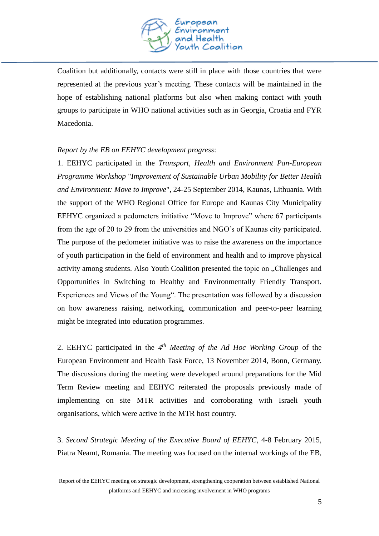

Coalition but additionally, contacts were still in place with those countries that were represented at the previous year's meeting. These contacts will be maintained in the hope of establishing national platforms but also when making contact with youth groups to participate in WHO national activities such as in Georgia, Croatia and FYR Macedonia.

# *Report by the EB on EEHYC development progress*:

1. EEHYC participated in the *Transport, Health and Environment Pan-European Programme Workshop* "*Improvement of Sustainable Urban Mobility for Better Health and Environment: Move to Improve*", 24-25 September 2014, Kaunas, Lithuania. With the support of the WHO Regional Office for Europe and Kaunas City Municipality EEHYC organized a pedometers initiative "Move to Improve" where 67 participants from the age of 20 to 29 from the universities and NGO's of Kaunas city participated. The purpose of the pedometer initiative was to raise the awareness on the importance of youth participation in the field of environment and health and to improve physical activity among students. Also Youth Coalition presented the topic on "Challenges and Opportunities in Switching to Healthy and Environmentally Friendly Transport. Experiences and Views of the Young". The presentation was followed by a discussion on how awareness raising, networking, communication and peer-to-peer learning might be integrated into education programmes.

2. EEHYC participated in the  $4<sup>th</sup>$  *Meeting of the Ad Hoc Working Group* of the European Environment and Health Task Force, 13 November 2014, Bonn, Germany. The discussions during the meeting were developed around preparations for the Mid Term Review meeting and EEHYC reiterated the proposals previously made of implementing on site MTR activities and corroborating with Israeli youth organisations, which were active in the MTR host country.

3. *Second Strategic Meeting of the Executive Board of EEHYC*, 4-8 February 2015, Piatra Neamt, Romania. The meeting was focused on the internal workings of the EB,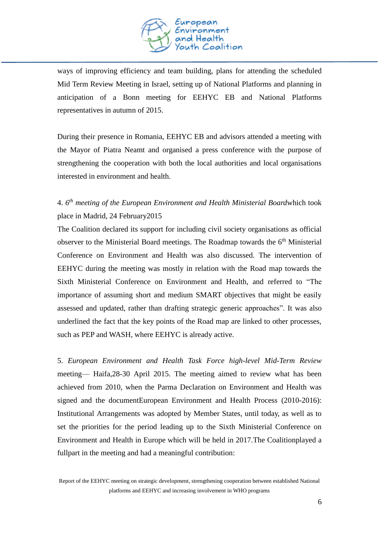

ways of improving efficiency and team building, plans for attending the scheduled Mid Term Review Meeting in Israel, setting up of National Platforms and planning in anticipation of a Bonn meeting for EEHYC EB and National Platforms representatives in autumn of 2015.

During their presence in Romania, EEHYC EB and advisors attended a meeting with the Mayor of Piatra Neamt and organised a press conference with the purpose of strengthening the cooperation with both the local authorities and local organisations interested in environment and health.

# 4. *6 th meeting of the European Environment and Health Ministerial Board*which took place in Madrid, 24 February2015

The Coalition declared its support for including civil society organisations as official observer to the Ministerial Board meetings. The Roadmap towards the  $6<sup>th</sup>$  Ministerial Conference on Environment and Health was also discussed. The intervention of EEHYC during the meeting was mostly in relation with the Road map towards the Sixth Ministerial Conference on Environment and Health, and referred to "The importance of assuming short and medium SMART objectives that might be easily assessed and updated, rather than drafting strategic generic approaches". It was also underlined the fact that the key points of the Road map are linked to other processes, such as PEP and WASH, where EEHYC is already active.

5. *European Environment and Health Task Force high-level Mid-Term Review* meeting— Haifa,28-30 April 2015. The meeting aimed to review what has been achieved from 2010, when the Parma Declaration on Environment and Health was signed and the documentEuropean Environment and Health Process (2010-2016): Institutional Arrangements was adopted by Member States, until today, as well as to set the priorities for the period leading up to the Sixth Ministerial Conference on Environment and Health in Europe which will be held in 2017.The Coalitionplayed a fullpart in the meeting and had a meaningful contribution: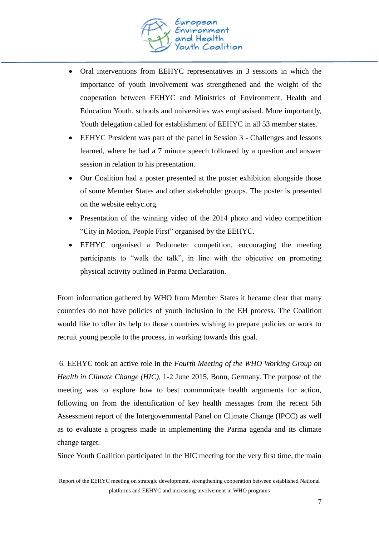

- Oral interventions from EEHYC representatives in 3 sessions in which the importance of youth involvement was strengthened and the weight of the cooperation between EEHYC and Ministries of Environment, Health and Education Youth, schools and universities was emphasised. More importantly, Youth delegation called for establishment of EEHYC in all 53 member states.
- EEHYC President was part of the panel in Session 3 Challenges and lessons learned, where he had a 7 minute speech followed by a question and answer session in relation to his presentation.
- Our Coalition had a poster presented at the poster exhibition alongside those of some Member States and other stakeholder groups. The poster is presented on the website eehyc.org.
- Presentation of the winning video of the 2014 photo and video competition "City in Motion, People First" organised by the EEHYC.
- EEHYC organised a Pedometer competition, encouraging the meeting participants to "walk the talk", in line with the objective on promoting physical activity outlined in Parma Declaration.

From information gathered by WHO from Member States it became clear that many countries do not have policies of youth inclusion in the EH process. The Coalition would like to offer its help to those countries wishing to prepare policies or work to recruit young people to the process, in working towards this goal.

6. EEHYC took an active role in the *Fourth Meeting of the WHO Working Group on Health in Climate Change (HIC)*, 1-2 June 2015, Bonn, Germany. The purpose of the meeting was to explore how to best communicate health arguments for action, following on from the identification of key health messages from the recent 5th Assessment report of the Intergovernmental Panel on Climate Change (IPCC) as well as to evaluate a progress made in implementing the Parma agenda and its climate change target.

Since Youth Coalition participated in the HIC meeting for the very first time, the main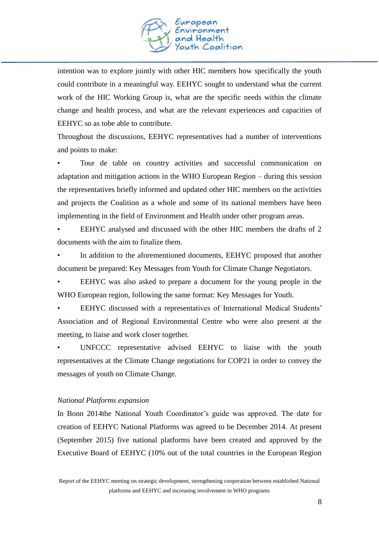

intention was to explore jointly with other HIC members how specifically the youth could contribute in a meaningful way. EEHYC sought to understand what the current work of the HIC Working Group is, what are the specific needs within the climate change and health process, and what are the relevant experiences and capacities of EEHYC so as tobe able to contribute.

Throughout the discussions, EEHYC representatives had a number of interventions and points to make:

• Tour de table on country activities and successful communication on adaptation and mitigation actions in the WHO European Region – during this session the representatives briefly informed and updated other HIC members on the activities and projects the Coalition as a whole and some of its national members have been implementing in the field of Environment and Health under other program areas.

• EEHYC analysed and discussed with the other HIC members the drafts of 2 documents with the aim to finalize them.

In addition to the aforementioned documents, EEHYC proposed that another document be prepared: Key Messages from Youth for Climate Change Negotiators.

• EEHYC was also asked to prepare a document for the young people in the WHO European region, following the same format: Key Messages for Youth.

• EEHYC discussed with a representatives of International Medical Students' Association and of Regional Environmental Centre who were also present at the meeting, to liaise and work closer together.

UNFCCC representative advised EEHYC to liaise with the youth representatives at the Climate Change negotiations for COP21 in order to convey the messages of youth on Climate Change.

#### *National Platforms expansion*

In Bonn 2014the National Youth Coordinator's guide was approved. The date for creation of EEHYC National Platforms was agreed to be December 2014. At present (September 2015) five national platforms have been created and approved by the Executive Board of EEHYC (10% out of the total countries in the European Region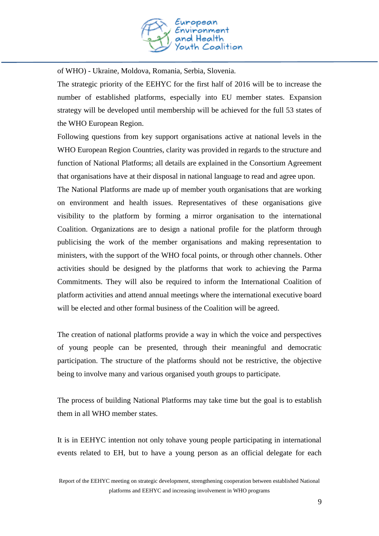

of WHO) - Ukraine, Moldova, Romania, Serbia, Slovenia.

The strategic priority of the EEHYC for the first half of 2016 will be to increase the number of established platforms, especially into EU member states. Expansion strategy will be developed until membership will be achieved for the full 53 states of the WHO European Region.

Following questions from key support organisations active at national levels in the WHO European Region Countries, clarity was provided in regards to the structure and function of National Platforms; all details are explained in the Consortium Agreement that organisations have at their disposal in national language to read and agree upon.

The National Platforms are made up of member youth organisations that are working on environment and health issues. Representatives of these organisations give visibility to the platform by forming a mirror organisation to the international Coalition. Organizations are to design a national profile for the platform through publicising the work of the member organisations and making representation to ministers, with the support of the WHO focal points, or through other channels. Other activities should be designed by the platforms that work to achieving the Parma Commitments. They will also be required to inform the International Coalition of platform activities and attend annual meetings where the international executive board will be elected and other formal business of the Coalition will be agreed.

The creation of national platforms provide a way in which the voice and perspectives of young people can be presented, through their meaningful and democratic participation. The structure of the platforms should not be restrictive, the objective being to involve many and various organised youth groups to participate.

The process of building National Platforms may take time but the goal is to establish them in all WHO member states.

It is in EEHYC intention not only tohave young people participating in international events related to EH, but to have a young person as an official delegate for each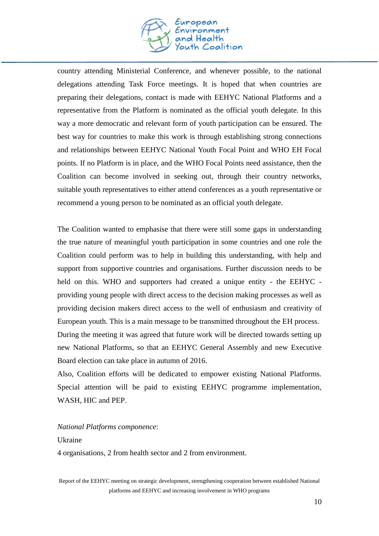

country attending Ministerial Conference, and whenever possible, to the national delegations attending Task Force meetings. It is hoped that when countries are preparing their delegations, contact is made with EEHYC National Platforms and a representative from the Platform is nominated as the official youth delegate. In this way a more democratic and relevant form of youth participation can be ensured. The best way for countries to make this work is through establishing strong connections and relationships between EEHYC National Youth Focal Point and WHO EH Focal points. If no Platform is in place, and the WHO Focal Points need assistance, then the Coalition can become involved in seeking out, through their country networks, suitable youth representatives to either attend conferences as a youth representative or recommend a young person to be nominated as an official youth delegate.

The Coalition wanted to emphasise that there were still some gaps in understanding the true nature of meaningful youth participation in some countries and one role the Coalition could perform was to help in building this understanding, with help and support from supportive countries and organisations. Further discussion needs to be held on this. WHO and supporters had created a unique entity - the EEHYC providing young people with direct access to the decision making processes as well as providing decision makers direct access to the well of enthusiasm and creativity of European youth. This is a main message to be transmitted throughout the EH process. During the meeting it was agreed that future work will be directed towards setting up new National Platforms, so that an EEHYC General Assembly and new Executive Board election can take place in autumn of 2016.

Also, Coalition efforts will be dedicated to empower existing National Platforms. Special attention will be paid to existing EEHYC programme implementation, WASH, HIC and PEP.

#### *National Platforms componence*:

#### Ukraine

4 organisations, 2 from health sector and 2 from environment.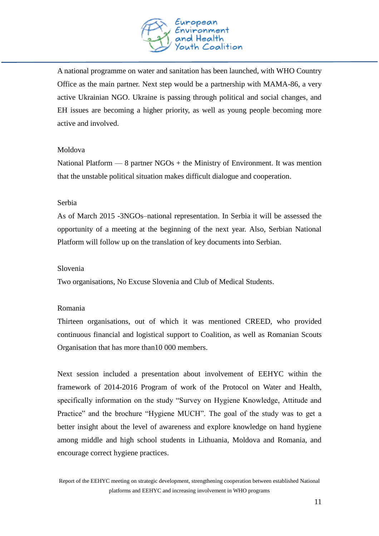

A national programme on water and sanitation has been launched, with WHO Country Office as the main partner. Next step would be a partnership with MAMA-86, a very active Ukrainian NGO. Ukraine is passing through political and social changes, and EH issues are becoming a higher priority, as well as young people becoming more active and involved.

#### Moldova

National Platform — 8 partner  $NGOs +$  the Ministry of Environment. It was mention that the unstable political situation makes difficult dialogue and cooperation.

#### Serbia

As of March 2015 -3NGOs–national representation. In Serbia it will be assessed the opportunity of a meeting at the beginning of the next year. Also, Serbian National Platform will follow up on the translation of key documents into Serbian.

#### Slovenia

Two organisations, No Excuse Slovenia and Club of Medical Students.

#### Romania

Thirteen organisations, out of which it was mentioned CREED, who provided continuous financial and logistical support to Coalition, as well as Romanian Scouts Organisation that has more than10 000 members.

Next session included a presentation about involvement of EEHYC within the framework of 2014-2016 Program of work of the Protocol on Water and Health, specifically information on the study "Survey on Hygiene Knowledge, Attitude and Practice" and the brochure "Hygiene MUCH". The goal of the study was to get a better insight about the level of awareness and explore knowledge on hand hygiene among middle and high school students in Lithuania, Moldova and Romania, and encourage correct hygiene practices.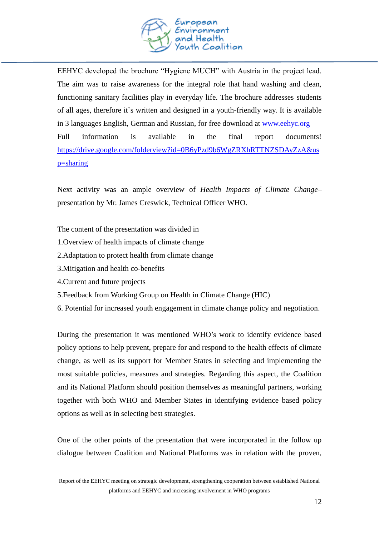

EEHYC developed the brochure "Hygiene MUCH" with Austria in the project lead. The aim was to raise awareness for the integral role that hand washing and clean, functioning sanitary facilities play in everyday life. The brochure addresses students of all ages, therefore it`s written and designed in a youth-friendly way. It is available in 3 languages English, German and Russian, for free download at [www.eehyc.org](http://www.eehyc.org/) Full information is available in the final report documents! [https://drive.google.com/folderview?id=0B6yPzd9b6WgZRXhRTTNZSDAyZzA&us](https://drive.google.com/folderview?id=0B6yPzd9b6WgZRXhRTTNZSDAyZzA&usp=sharing) [p=sharing](https://drive.google.com/folderview?id=0B6yPzd9b6WgZRXhRTTNZSDAyZzA&usp=sharing)

Next activity was an ample overview of *Health Impacts of Climate Change*– presentation by Mr. James Creswick, Technical Officer WHO.

The content of the presentation was divided in

- 1.Overview of health impacts of climate change
- 2.Adaptation to protect health from climate change
- 3.Mitigation and health co-benefits
- 4.Current and future projects
- 5.Feedback from Working Group on Health in Climate Change (HIC)
- 6. Potential for increased youth engagement in climate change policy and negotiation.

During the presentation it was mentioned WHO's work to identify evidence based policy options to help prevent, prepare for and respond to the health effects of climate change, as well as its support for Member States in selecting and implementing the most suitable policies, measures and strategies. Regarding this aspect, the Coalition and its National Platform should position themselves as meaningful partners, working together with both WHO and Member States in identifying evidence based policy options as well as in selecting best strategies.

One of the other points of the presentation that were incorporated in the follow up dialogue between Coalition and National Platforms was in relation with the proven,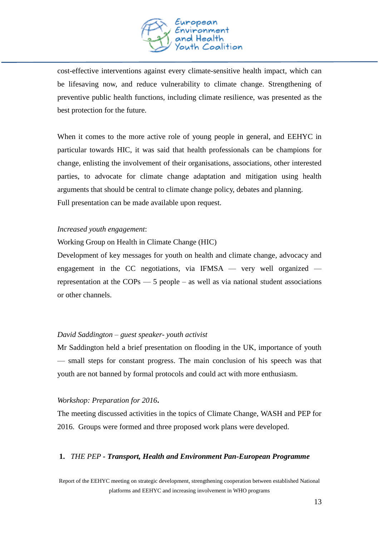

cost-effective interventions against every climate-sensitive health impact, which can be lifesaving now, and reduce vulnerability to climate change. Strengthening of preventive public health functions, including climate resilience, was presented as the best protection for the future.

When it comes to the more active role of young people in general, and EEHYC in particular towards HIC, it was said that health professionals can be champions for change, enlisting the involvement of their organisations, associations, other interested parties, to advocate for climate change adaptation and mitigation using health arguments that should be central to climate change policy, debates and planning. Full presentation can be made available upon request.

#### *Increased youth engagement*:

Working Group on Health in Climate Change (HIC)

Development of key messages for youth on health and climate change, advocacy and engagement in the CC negotiations, via IFMSA — very well organized representation at the COPs — 5 people – as well as via national student associations or other channels.

#### *David Saddington – guest speaker- youth activist*

Mr Saddington held a brief presentation on flooding in the UK, importance of youth — small steps for constant progress. The main conclusion of his speech was that youth are not banned by formal protocols and could act with more enthusiasm.

#### *Workshop: Preparation for 2016***.**

The meeting discussed activities in the topics of Climate Change, WASH and PEP for 2016. Groups were formed and three proposed work plans were developed.

#### **1.** *THE PEP - Transport, Health and Environment Pan-European Programme*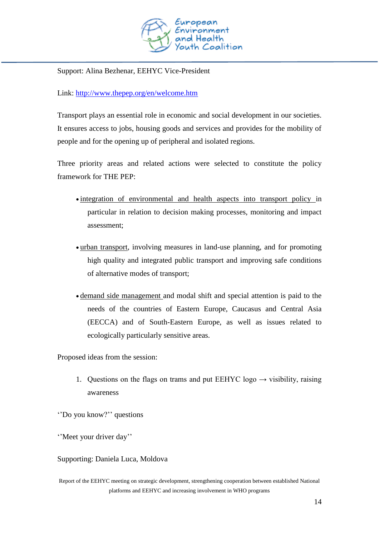

Support: Alina Bezhenar, EEHYC Vice-President

Link: <http://www.thepep.org/en/welcome.htm>

Transport plays an essential role in economic and social development in our societies. It ensures access to jobs, housing goods and services and provides for the mobility of people and for the opening up of peripheral and isolated regions.

Three priority areas and related actions were selected to constitute the policy framework for THE PEP:

- integration of environmental and health aspects into transport policy in particular in relation to decision making processes, monitoring and impact assessment;
- urban transport, involving measures in land-use planning, and for promoting high quality and integrated public transport and improving safe conditions of alternative modes of transport;
- demand side management and modal shift and special attention is paid to the needs of the countries of Eastern Europe, Caucasus and Central Asia (EECCA) and of South-Eastern Europe, as well as issues related to ecologically particularly sensitive areas.

Proposed ideas from the session:

1. Questions on the flags on trams and put EEHYC logo  $\rightarrow$  visibility, raising awareness

''Do you know?'' questions

''Meet your driver day''

Supporting: Daniela Luca, Moldova

Report of the EEHYC meeting on strategic development, strengthening cooperation between established National platforms and EEHYC and increasing involvement in WHO programs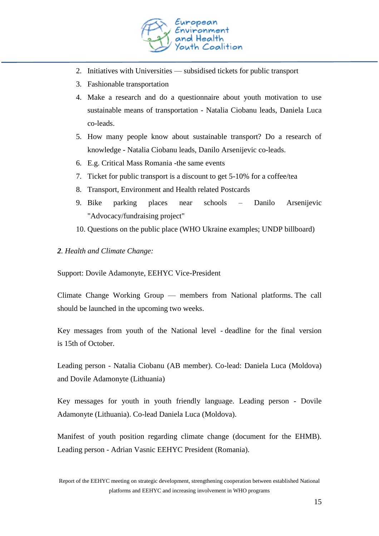

- 2. Initiatives with Universities subsidised tickets for public transport
- 3. Fashionable transportation
- 4. Make a research and do a questionnaire about youth motivation to use sustainable means of transportation - Natalia Ciobanu leads, Daniela Luca co-leads.
- 5. How many people know about sustainable transport? Do a research of knowledge - Natalia Ciobanu leads, Danilo Arsenijevic co-leads.
- 6. E.g. Critical Mass Romania -the same events
- 7. Ticket for public transport is a discount to get 5-10% for a coffee/tea
- 8. Transport, Environment and Health related Postcards
- 9. Bike parking places near schools Danilo Arsenijevic "Advocacy/fundraising project"
- 10. Questions on the public place (WHO Ukraine examples; UNDP billboard)
- *2. Health and Climate Change:*

Support: Dovile Adamonyte, EEHYC Vice-President

Climate Change Working Group — members from National platforms. The call should be launched in the upcoming two weeks.

Key messages from youth of the National level - deadline for the final version is 15th of October.

Leading person - Natalia Ciobanu (AB member). Co-lead: Daniela Luca (Moldova) and Dovile Adamonyte (Lithuania)

Key messages for youth in youth friendly language. Leading person - Dovile Adamonyte (Lithuania). Co-lead Daniela Luca (Moldova).

Manifest of youth position regarding climate change (document for the EHMB). Leading person - Adrian Vasnic EEHYC President (Romania).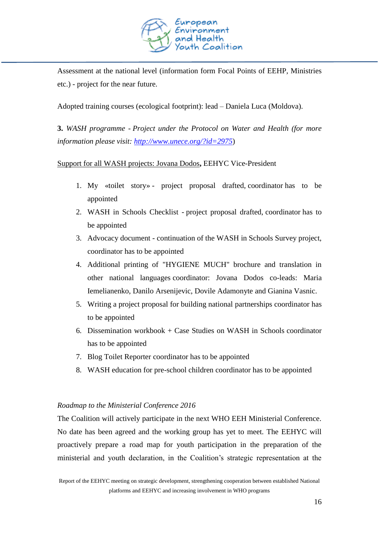

Assessment at the national level (information form Focal Points of EEHP, Ministries etc.) - project for the near future.

Adopted training courses (ecological footprint): lead – Daniela Luca (Moldova).

**3.** *WASH programme - Project under the Protocol on Water and Health (for more information please visit: <http://www.unece.org/?id=2975>*)

# Support for all WASH projects: Jovana Dodos**,** EEHYC Vice-President

- 1. My «toilet story» project proposal drafted, coordinator has to be appointed
- 2. WASH in Schools Checklist project proposal drafted, coordinator has to be appointed
- 3. Advocacy document continuation of the WASH in Schools Survey project, coordinator has to be appointed
- 4. Additional printing of "HYGIENE MUCH" brochure and translation in other national languages coordinator: Jovana Dodos co-leads: Maria Iemelianenko, Danilo Arsenijevic, Dovile Adamonyte and Gianina Vasnic.
- 5. Writing a project proposal for building national partnerships coordinator has to be appointed
- 6. Dissemination workbook + Case Studies on WASH in Schools coordinator has to be appointed
- 7. Blog Toilet Reporter coordinator has to be appointed
- 8. WASH education for pre-school children coordinator has to be appointed

#### *Roadmap to the Ministerial Conference 2016*

The Coalition will actively participate in the next WHO EEH Ministerial Conference. No date has been agreed and the working group has yet to meet. The EEHYC will proactively prepare a road map for youth participation in the preparation of the ministerial and youth declaration, in the Coalition's strategic representation at the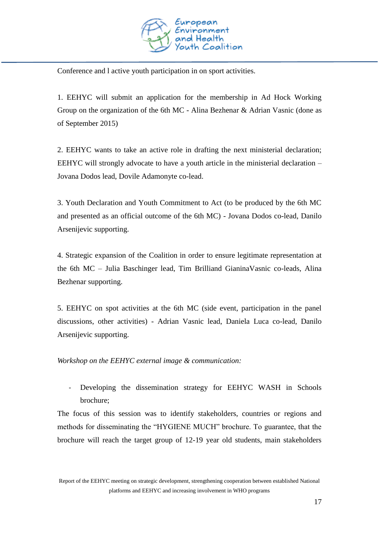

Conference and l active youth participation in on sport activities.

1. EEHYC will submit an application for the membership in Ad Hock Working Group on the organization of the 6th MC - Alina Bezhenar & Adrian Vasnic (done as of September 2015)

2. EEHYC wants to take an active role in drafting the next ministerial declaration; EEHYC will strongly advocate to have a youth article in the ministerial declaration – Jovana Dodos lead, Dovile Adamonyte co-lead.

3. Youth Declaration and Youth Commitment to Act (to be produced by the 6th MC and presented as an official outcome of the 6th MC) - Jovana Dodos co-lead, Danilo Arsenijevic supporting.

4. Strategic expansion of the Coalition in order to ensure legitimate representation at the 6th MC – Julia Baschinger lead, Tim Brilliand GianinaVasnic co-leads, Alina Bezhenar supporting.

5. EEHYC on spot activities at the 6th MC (side event, participation in the panel discussions, other activities) - Adrian Vasnic lead, Daniela Luca co-lead, Danilo Arsenijevic supporting.

*Workshop on the EEHYC external image & communication:* 

- Developing the dissemination strategy for EEHYC WASH in Schools brochure;

The focus of this session was to identify stakeholders, countries or regions and methods for disseminating the "HYGIENE MUCH" brochure. To guarantee, that the brochure will reach the target group of 12-19 year old students, main stakeholders

Report of the EEHYC meeting on strategic development, strengthening cooperation between established National platforms and EEHYC and increasing involvement in WHO programs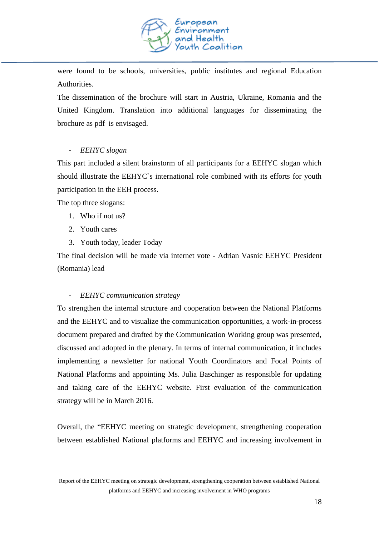

were found to be schools, universities, public institutes and regional Education Authorities.

The dissemination of the brochure will start in Austria, Ukraine, Romania and the United Kingdom. Translation into additional languages for disseminating the brochure as pdf is envisaged.

# - *EEHYC slogan*

This part included a silent brainstorm of all participants for a EEHYC slogan which should illustrate the EEHYC`s international role combined with its efforts for youth participation in the EEH process.

The top three slogans:

- 1. Who if not us?
- 2. Youth cares
- 3. Youth today, leader Today

The final decision will be made via internet vote - Adrian Vasnic EEHYC President (Romania) lead

# - *EEHYC communication strategy*

To strengthen the internal structure and cooperation between the National Platforms and the EEHYC and to visualize the communication opportunities, a work-in-process document prepared and drafted by the Communication Working group was presented, discussed and adopted in the plenary. In terms of internal communication, it includes implementing a newsletter for national Youth Coordinators and Focal Points of National Platforms and appointing Ms. Julia Baschinger as responsible for updating and taking care of the EEHYC website. First evaluation of the communication strategy will be in March 2016.

Report of the EEHYC meeting on strategic development, strengthening cooperation between established National platforms and EEHYC and increasing involvement in WHO programs